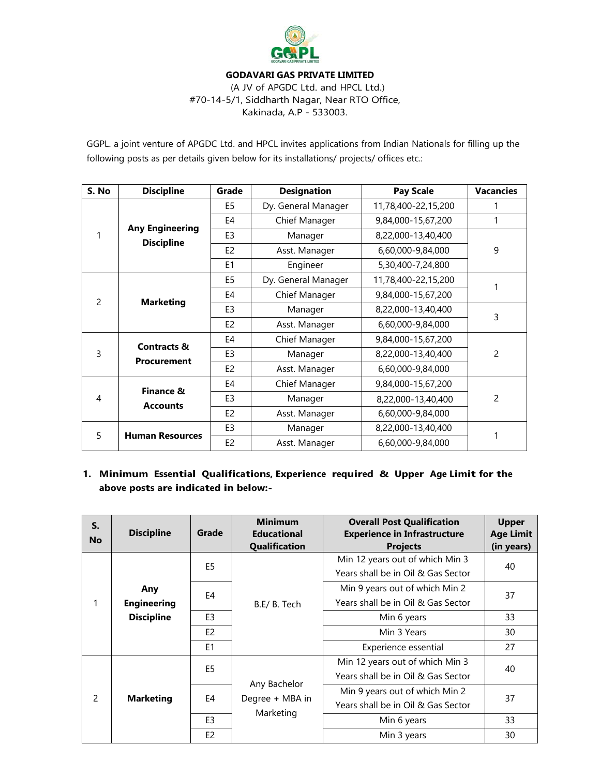

# **GODAVARI GAS PRIVATE LIMITED**

(A JV of APGDC Ltd. and HPCL Ltd.) #70-14-5/1, Siddharth Nagar, Near RTO Office, Kakinada, A.P - 533003.

GGPL. a joint venture of APGDC Ltd. and HPCL invites applications from Indian Nationals for filling up the following posts as per details given below for its installations/ projects/ offices etc.:

| S. No         | <b>Discipline</b>                            | Grade          | <b>Designation</b>  | <b>Pay Scale</b>    | <b>Vacancies</b> |  |
|---------------|----------------------------------------------|----------------|---------------------|---------------------|------------------|--|
| 1             | <b>Any Engineering</b><br><b>Discipline</b>  | E <sub>5</sub> | Dy. General Manager | 11,78,400-22,15,200 |                  |  |
|               |                                              | E4             | Chief Manager       | 9,84,000-15,67,200  | 1                |  |
|               |                                              | E <sub>3</sub> | Manager             | 8,22,000-13,40,400  |                  |  |
|               |                                              | E <sub>2</sub> | Asst. Manager       | 6,60,000-9,84,000   | 9                |  |
|               |                                              | E1             | Engineer            | 5,30,400-7,24,800   |                  |  |
| $\mathcal{P}$ | <b>Marketing</b>                             | E <sub>5</sub> | Dy. General Manager | 11,78,400-22,15,200 |                  |  |
|               |                                              | E4             | Chief Manager       | 9,84,000-15,67,200  |                  |  |
|               |                                              | E <sub>3</sub> | Manager             | 8,22,000-13,40,400  | 3                |  |
|               |                                              | E <sub>2</sub> | Asst. Manager       | 6,60,000-9,84,000   |                  |  |
| 3             | <b>Contracts &amp;</b><br><b>Procurement</b> | E4             | Chief Manager       | 9,84,000-15,67,200  |                  |  |
|               |                                              | E <sub>3</sub> | Manager             | 8,22,000-13,40,400  | $\overline{c}$   |  |
|               |                                              | E <sub>2</sub> | Asst. Manager       | 6,60,000-9,84,000   |                  |  |
| 4             | Finance &<br><b>Accounts</b>                 | E4             | Chief Manager       | 9,84,000-15,67,200  |                  |  |
|               |                                              | E <sub>3</sub> | Manager             | 8,22,000-13,40,400  | $\overline{c}$   |  |
|               |                                              | E <sub>2</sub> | Asst. Manager       | 6,60,000-9,84,000   |                  |  |
| 5             | <b>Human Resources</b>                       | E <sub>3</sub> | Manager             | 8,22,000-13,40,400  |                  |  |
|               |                                              | E <sub>2</sub> | Asst. Manager       | 6,60,000-9,84,000   |                  |  |

# **1. Minimum Essential Qualifications, Experience required & Upper Age Limit for the above posts are indicated in below:-**

| S.<br><b>No</b> | <b>Discipline</b>                              | Grade          | <b>Minimum</b><br><b>Educational</b><br>Qualification | <b>Overall Post Qualification</b><br><b>Experience in Infrastructure</b><br><b>Projects</b> | <b>Upper</b><br><b>Age Limit</b><br>(in years) |
|-----------------|------------------------------------------------|----------------|-------------------------------------------------------|---------------------------------------------------------------------------------------------|------------------------------------------------|
| 1               | Any<br><b>Engineering</b><br><b>Discipline</b> | E <sub>5</sub> | B.E/ B. Tech                                          | Min 12 years out of which Min 3<br>Years shall be in Oil & Gas Sector                       | 40                                             |
|                 |                                                | E4             |                                                       | Min 9 years out of which Min 2<br>Years shall be in Oil & Gas Sector                        | 37                                             |
|                 |                                                | E <sub>3</sub> |                                                       | Min 6 years                                                                                 | 33                                             |
|                 |                                                | E <sub>2</sub> |                                                       | Min 3 Years                                                                                 | 30                                             |
|                 |                                                | E <sub>1</sub> |                                                       | Experience essential                                                                        | 27                                             |
| $\mathcal{P}$   | <b>Marketing</b>                               | E <sub>5</sub> | Any Bachelor<br>Degree + MBA in<br>Marketing          | Min 12 years out of which Min 3<br>Years shall be in Oil & Gas Sector                       | 40                                             |
|                 |                                                | E4             |                                                       | Min 9 years out of which Min 2<br>Years shall be in Oil & Gas Sector                        | 37                                             |
|                 |                                                | E <sub>3</sub> |                                                       | Min 6 years                                                                                 | 33                                             |
|                 |                                                | E <sub>2</sub> |                                                       | Min 3 years                                                                                 | 30                                             |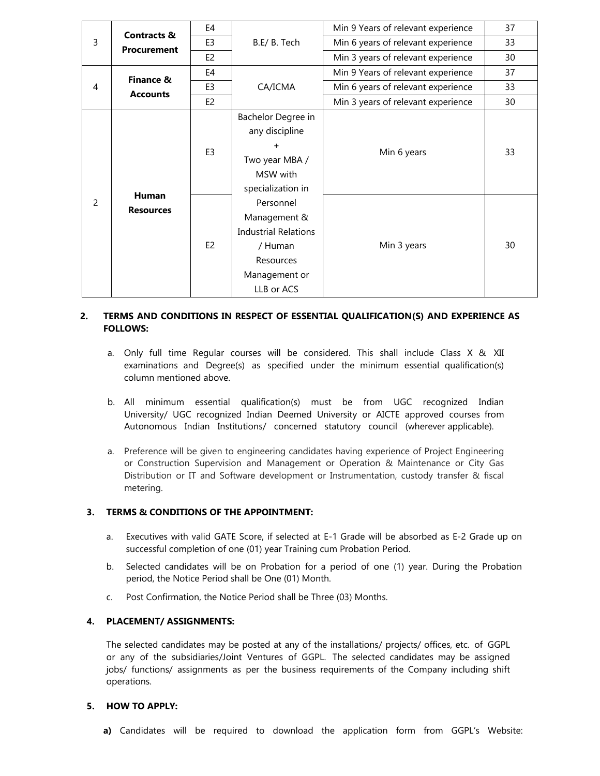| 3 | <b>Contracts &amp;</b><br><b>Procurement</b> | E4             | B.E/ B. Tech                | Min 9 Years of relevant experience | 37 |
|---|----------------------------------------------|----------------|-----------------------------|------------------------------------|----|
|   |                                              | E <sub>3</sub> |                             | Min 6 years of relevant experience | 33 |
|   |                                              | E <sub>2</sub> |                             | Min 3 years of relevant experience | 30 |
| 4 | Finance &<br><b>Accounts</b>                 | E4             | CA/ICMA                     | Min 9 Years of relevant experience | 37 |
|   |                                              | E <sub>3</sub> |                             | Min 6 years of relevant experience | 33 |
|   |                                              | E <sub>2</sub> |                             | Min 3 years of relevant experience | 30 |
|   | <b>Human</b><br><b>Resources</b>             | E <sub>3</sub> | Bachelor Degree in          | Min 6 years                        | 33 |
|   |                                              |                | any discipline              |                                    |    |
|   |                                              |                | $\ddot{}$                   |                                    |    |
|   |                                              |                | Two year MBA /              |                                    |    |
|   |                                              |                | MSW with                    |                                    |    |
|   |                                              |                | specialization in           |                                    |    |
| 2 |                                              | E <sub>2</sub> | Personnel                   | Min 3 years                        | 30 |
|   |                                              |                | Management &                |                                    |    |
|   |                                              |                | <b>Industrial Relations</b> |                                    |    |
|   |                                              |                | / Human                     |                                    |    |
|   |                                              |                | Resources                   |                                    |    |
|   |                                              |                | Management or               |                                    |    |
|   |                                              |                | LLB or ACS                  |                                    |    |

### **2. TERMS AND CONDITIONS IN RESPECT OF ESSENTIAL QUALIFICATION(S) AND EXPERIENCE AS FOLLOWS:**

- a. Only full time Regular courses will be considered. This shall include Class X & XII examinations and Degree(s) as specified under the minimum essential qualification(s) column mentioned above.
- b. All minimum essential qualification(s) must be from UGC recognized Indian University/ UGC recognized Indian Deemed University or AICTE approved courses from Autonomous Indian Institutions/ concerned statutory council (wherever applicable).
- a. Preference will be given to engineering candidates having experience of Project Engineering or Construction Supervision and Management or Operation & Maintenance or City Gas Distribution or IT and Software development or Instrumentation, custody transfer & fiscal metering.

### **3. TERMS & CONDITIONS OF THE APPOINTMENT:**

- a. Executives with valid GATE Score, if selected at E-1 Grade will be absorbed as E-2 Grade up on successful completion of one (01) year Training cum Probation Period.
- b. Selected candidates will be on Probation for a period of one (1) year. During the Probation period, the Notice Period shall be One (01) Month.
- c. Post Confirmation, the Notice Period shall be Three (03) Months.

#### **4. PLACEMENT/ ASSIGNMENTS:**

The selected candidates may be posted at any of the installations/ projects/ offices, etc. of GGPL or any of the subsidiaries/Joint Ventures of GGPL. The selected candidates may be assigned jobs/ functions/ assignments as per the business requirements of the Company including shift operations.

#### **5. HOW TO APPLY:**

**a)** Candidates will be required to download the application form from GGPL's Website: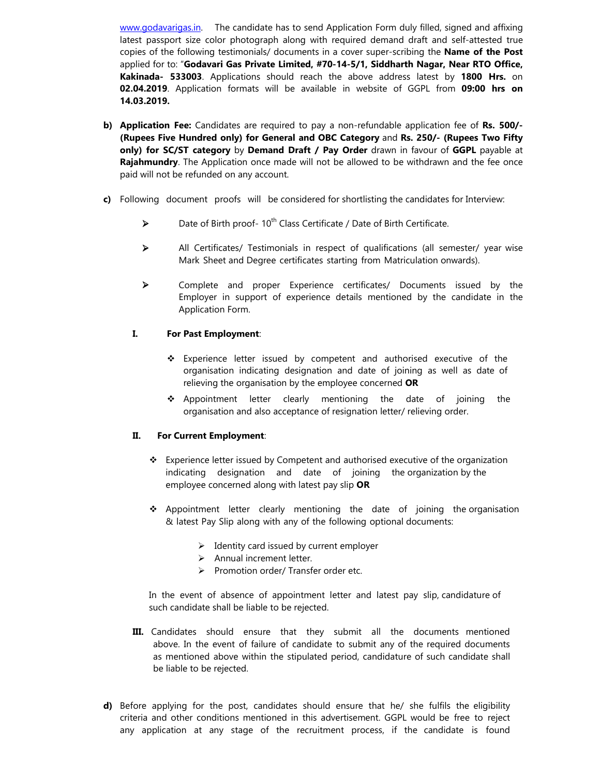www.godavarigas.in. The candidate has to send Application Form duly filled, signed and affixing latest passport size color photograph along with required demand draft and self-attested true copies of the following testimonials/ documents in a cover super-scribing the **Name of the Post** applied for to: "**Godavari Gas Private Limited, #70-14-5/1, Siddharth Nagar, Near RTO Office, Kakinada- 533003**. Applications should reach the above address latest by **1800 Hrs.** on **02.04.2019**. Application formats will be available in website of GGPL from **09:00 hrs on 14.03.2019.** 

- **b) Application Fee:** Candidates are required to pay a non-refundable application fee of Rs. 500/-**(Rupees Five Hundred only) for General and OBC Category** and **Rs. 250/- (Rupees Two Fifty only) for SC/ST category** by **Demand Draft / Pay Order** drawn in favour of **GGPL** payable at **Rajahmundry**. The Application once made will not be allowed to be withdrawn and the fee once paid will not be refunded on any account.
- **c)** Following document proofs will be considered for shortlisting the candidates for Interview:
	- $\triangleright$  Date of Birth proof- 10<sup>th</sup> Class Certificate / Date of Birth Certificate.
	- All Certificates/ Testimonials in respect of qualifications (all semester/ year wise Mark Sheet and Degree certificates starting from Matriculation onwards).
	- Complete and proper Experience certificates/ Documents issued by the Employer in support of experience details mentioned by the candidate in the Application Form.

## **I. For Past Employment**:

- $\div$  Experience letter issued by competent and authorised executive of the organisation indicating designation and date of joining as well as date of relieving the organisation by the employee concerned **OR**
- \* Appointment letter clearly mentioning the date of joining the organisation and also acceptance of resignation letter/ relieving order.

## **II. For Current Employment**:

- $\div$  Experience letter issued by Competent and authorised executive of the organization indicating designation and date of joining the organization by the employee concerned along with latest pay slip **OR**
- $\div$  Appointment letter clearly mentioning the date of joining the organisation & latest Pay Slip along with any of the following optional documents:
	- $\triangleright$  Identity card issued by current employer
	- $\triangleright$  Annual increment letter.
	- $\triangleright$  Promotion order/ Transfer order etc.

In the event of absence of appointment letter and latest pay slip, candidature of such candidate shall be liable to be rejected.

- **III.** Candidates should ensure that they submit all the documents mentioned above. In the event of failure of candidate to submit any of the required documents as mentioned above within the stipulated period, candidature of such candidate shall be liable to be rejected.
- **d)** Before applying for the post, candidates should ensure that he/ she fulfils the eligibility criteria and other conditions mentioned in this advertisement. GGPL would be free to reject any application at any stage of the recruitment process, if the candidate is found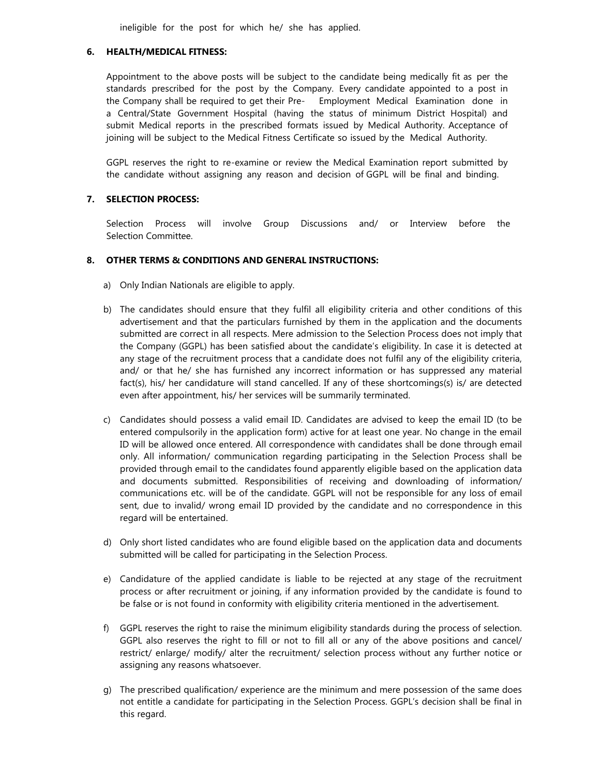ineligible for the post for which he/ she has applied.

#### **6. HEALTH/MEDICAL FITNESS:**

Appointment to the above posts will be subject to the candidate being medically fit as per the standards prescribed for the post by the Company. Every candidate appointed to a post in the Company shall be required to get their Pre- Employment Medical Examination done in a Central/State Government Hospital (having the status of minimum District Hospital) and submit Medical reports in the prescribed formats issued by Medical Authority. Acceptance of joining will be subject to the Medical Fitness Certificate so issued by the Medical Authority.

GGPL reserves the right to re-examine or review the Medical Examination report submitted by the candidate without assigning any reason and decision of GGPL will be final and binding.

### **7. SELECTION PROCESS:**

 Selection Process will involve Group Discussions and/ or Interview before the Selection Committee.

## **8. OTHER TERMS & CONDITIONS AND GENERAL INSTRUCTIONS:**

- a) Only Indian Nationals are eligible to apply.
- b) The candidates should ensure that they fulfil all eligibility criteria and other conditions of this advertisement and that the particulars furnished by them in the application and the documents submitted are correct in all respects. Mere admission to the Selection Process does not imply that the Company (GGPL) has been satisfied about the candidate's eligibility. In case it is detected at any stage of the recruitment process that a candidate does not fulfil any of the eligibility criteria, and/ or that he/ she has furnished any incorrect information or has suppressed any material fact(s), his/ her candidature will stand cancelled. If any of these shortcomings(s) is/ are detected even after appointment, his/ her services will be summarily terminated.
- c) Candidates should possess a valid email ID. Candidates are advised to keep the email ID (to be entered compulsorily in the application form) active for at least one year. No change in the email ID will be allowed once entered. All correspondence with candidates shall be done through email only. All information/ communication regarding participating in the Selection Process shall be provided through email to the candidates found apparently eligible based on the application data and documents submitted. Responsibilities of receiving and downloading of information/ communications etc. will be of the candidate. GGPL will not be responsible for any loss of email sent, due to invalid/ wrong email ID provided by the candidate and no correspondence in this regard will be entertained.
- d) Only short listed candidates who are found eligible based on the application data and documents submitted will be called for participating in the Selection Process.
- e) Candidature of the applied candidate is liable to be rejected at any stage of the recruitment process or after recruitment or joining, if any information provided by the candidate is found to be false or is not found in conformity with eligibility criteria mentioned in the advertisement.
- f) GGPL reserves the right to raise the minimum eligibility standards during the process of selection. GGPL also reserves the right to fill or not to fill all or any of the above positions and cancel/ restrict/ enlarge/ modify/ alter the recruitment/ selection process without any further notice or assigning any reasons whatsoever.
- g) The prescribed qualification/ experience are the minimum and mere possession of the same does not entitle a candidate for participating in the Selection Process. GGPL's decision shall be final in this regard.